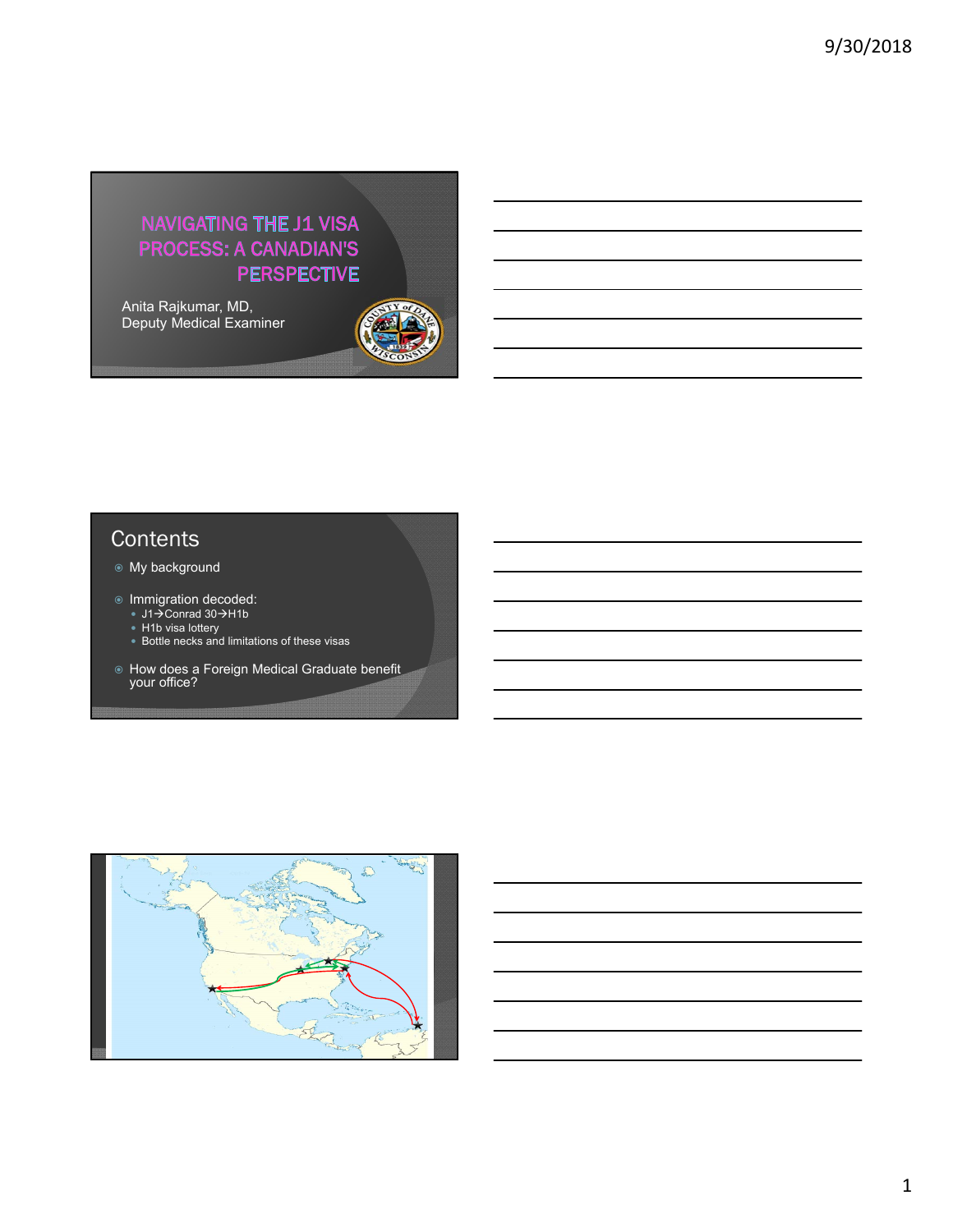# NAVIGATING THE J1 VISA **PROCESS: A CANADIAN'S PERSPECTIVE**

Anita Rajkumar, MD, Deputy Medical Examiner



# **Contents**

- My background
- Immigration decoded:
	- J1→Conrad 30→H1b
	- H1b visa lottery
	- Bottle necks and limitations of these visas
- How does a Foreign Medical Graduate benefit your office?

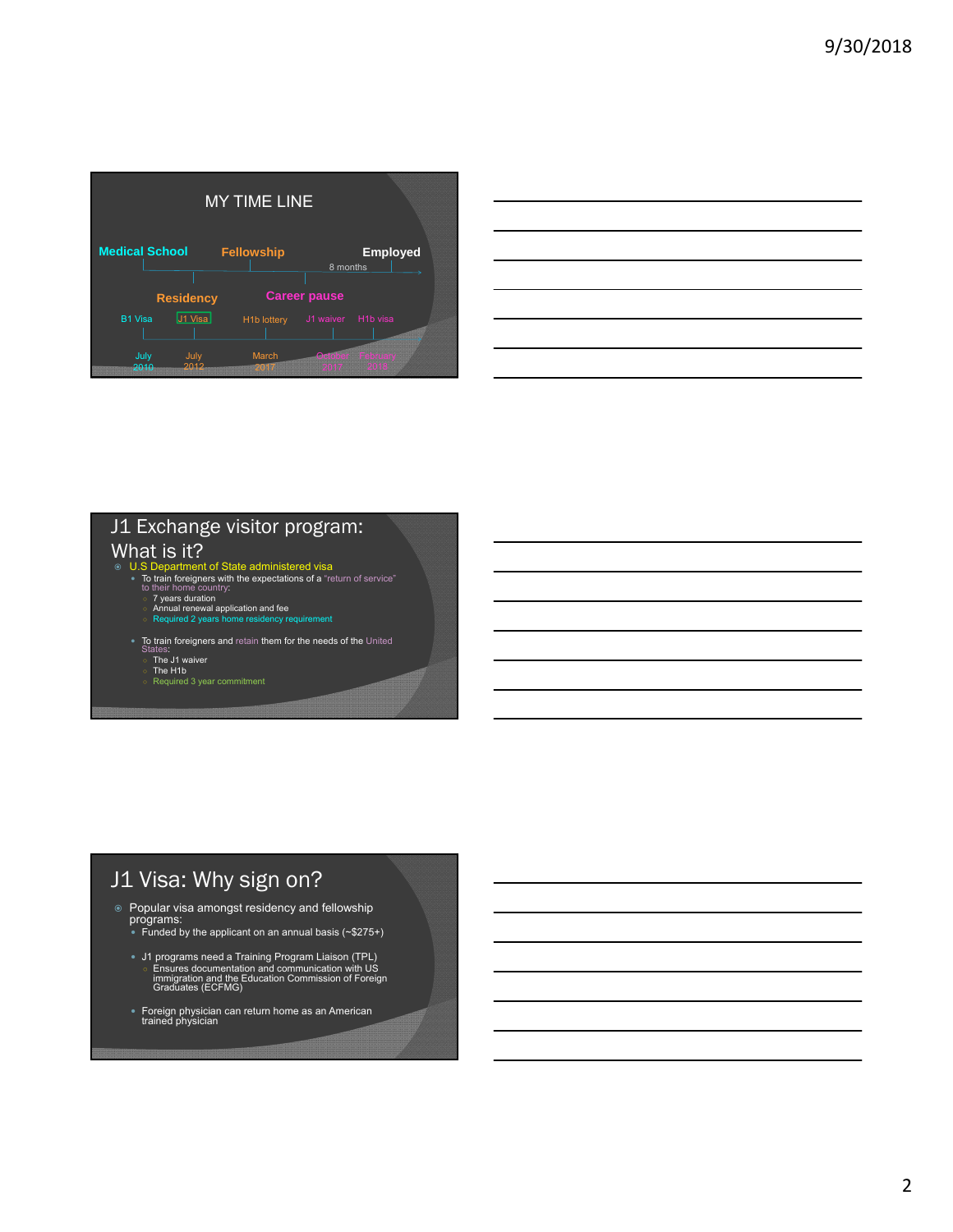| <b>MY TIME LINE</b>   |                  |         |                    |                     |                       |  |
|-----------------------|------------------|---------|--------------------|---------------------|-----------------------|--|
| <b>Medical School</b> |                  |         | <b>Fellowship</b>  | 8 months            | <b>Employed</b>       |  |
|                       | <b>Residency</b> |         |                    | <b>Career pause</b> |                       |  |
| <b>B1 Visa</b>        |                  | J1 Visa | <b>H1b lottery</b> | J1 waiver           | H <sub>1</sub> b visa |  |
| July<br>2010          | 2013             | July    | <b>March</b>       | Qamber Febri        |                       |  |

| $\overline{\phantom{a}}$ |  |                                                                                 |                                                                                                                                                                                                                               |         |
|--------------------------|--|---------------------------------------------------------------------------------|-------------------------------------------------------------------------------------------------------------------------------------------------------------------------------------------------------------------------------|---------|
|                          |  |                                                                                 |                                                                                                                                                                                                                               |         |
|                          |  |                                                                                 | the control of the control of the control of the control of the control of the control of the control of the control of the control of the control of the control of the control of the control of the control of the control |         |
|                          |  |                                                                                 | and the contract of the contract of the contract of the contract of the contract of the contract of the contract of                                                                                                           | _______ |
|                          |  |                                                                                 | <u> 1989 - Andrea Santa Andrea Andrea Andrea Andrea Andrea Andrea Andrea Andrea Andrea Andrea Andrea Andrea Andr</u>                                                                                                          |         |
|                          |  |                                                                                 | <u> Andreas and the second control of the second control of the second control of the second control of the second</u>                                                                                                        |         |
|                          |  | the contract of the contract of the contract of the contract of the contract of |                                                                                                                                                                                                                               |         |
|                          |  |                                                                                 |                                                                                                                                                                                                                               |         |

# J1 Exchange visitor program:

## What is it?

- U.S Department of State administered visa
	-
	-
	- To train foreigners with the expectations of a "return of service"<br>
	to their home country:<br>
	 7 years duration<br>
	△ Annual renewal application and fee<br>
	◇ Required 2 years home residency requirement
	- $\bullet$  To train foreigners and retain them for the needs of the United
		- ates.<br>The J1 waiver
		- The H1b Required 3 year commitment

# J1 Visa: Why sign on?

- Popular visa amongst residency and fellowship programs: Funded by the applicant on an annual basis (~\$275+)
	-
	- J1 programs need a Training Program Liaison (TPL)<br>○ Ensures documentation and communication with US<br>immigration and the Education Commission of Foreign<br>Graduates (ECFMG)
	- Foreign physician can return home as an American trained physician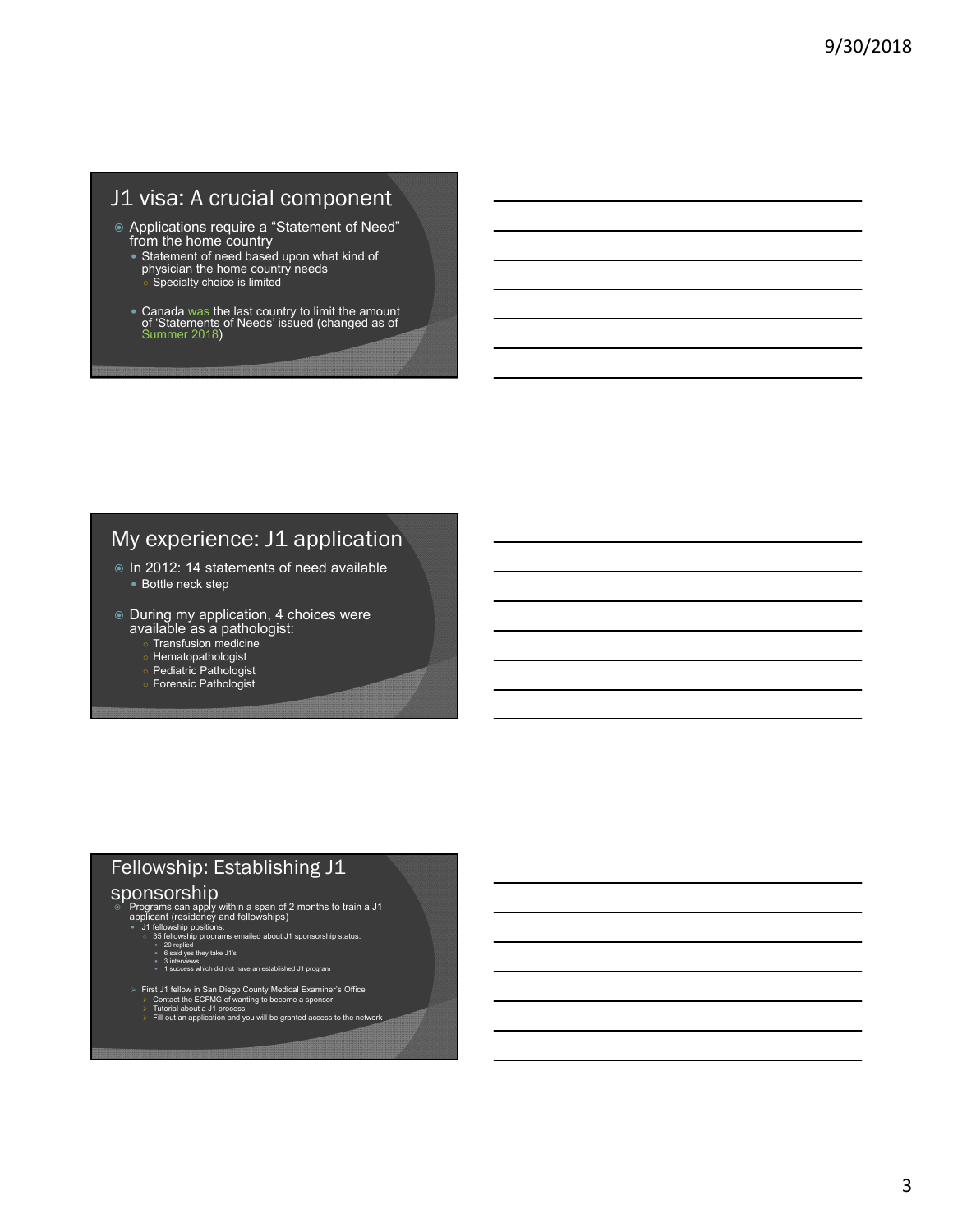# J1 visa: A crucial component

- Applications require a "Statement of Need" from the home country
	- Statement of need based upon what kind of physician the home country needs Specialty choice is limited
	- Canada was the last country to limit the amount of 'Statements of Needs' issued (changed as of Summer 2018)

# My experience: J1 application

- In 2012: 14 statements of need available • Bottle neck step
- $\circ$  During my application, 4 choices were
	- available as a pathologist:
		- Transfusion medicine
		- **Hematopathologist**
		- Pediatric Pathologist
		- Forensic Pathologist

# Fellowship: Establishing J1

#### sponsorship

- $\circ$  Programs can apply within a span of 2 months to train a J1<br>applicant (residency and fellowships)<br> $\bullet$  J1 fellowship positions:<br>35 fellowship programs emailed about J1 sponsorship status:<br> $\circ$  20 repiled<br> $\circ$  said yes
	- - -
			-
			-
	- First J1 fellow in San Diego County Medical Examiner's Office<br>
	→ Contact the ECFMG of wanting to become a sponsor<br>
	→ Tutorial about a J1 process<br>
	→ Fill out an application and you will be granted access to the network
		-
		-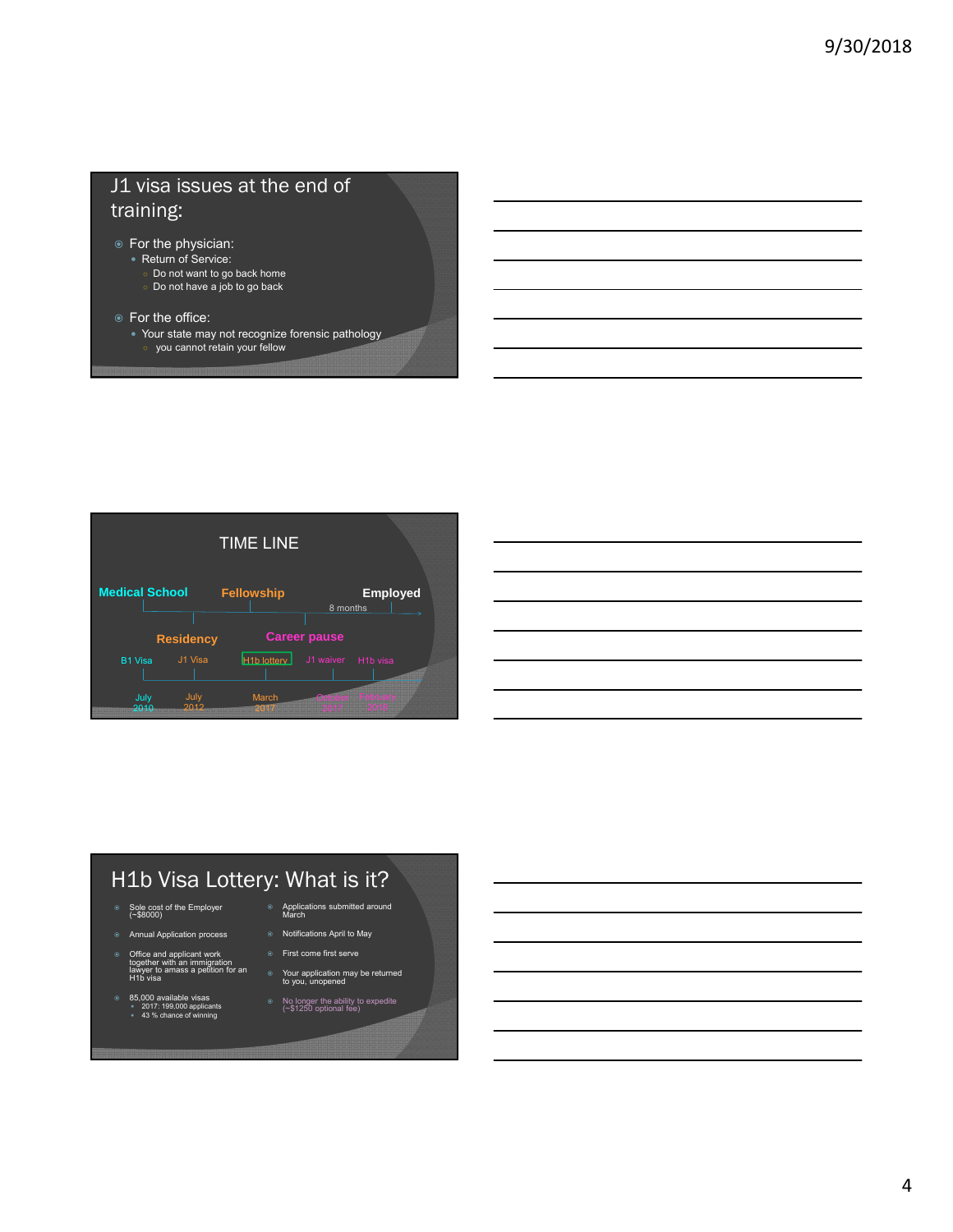# J1 visa issues at the end of training:

- For the physician:
	- Return of Service:
		- Do not want to go back home

○ you cannot retain your fellow

- Do not have a job to go back
- For the office:
	- Your state may not recognize forensic pathology



# H1b Visa Lottery: What is it?

- Sole cost of the Employer (~\$8000)
- Annual Application process
- ◎ Office and applicant work<br>together with an immigration<br>lawyer to amass a petition for an<br>H1b visa
- 85,000 available visas 2017: 199,000 applicants 43 % chance of winning
- Applications submitted around March
- Notifications April to May
- First come first serve
- Your application may be returned to you, unopened
- No longer the ability to expedite (~\$1250 optional fee)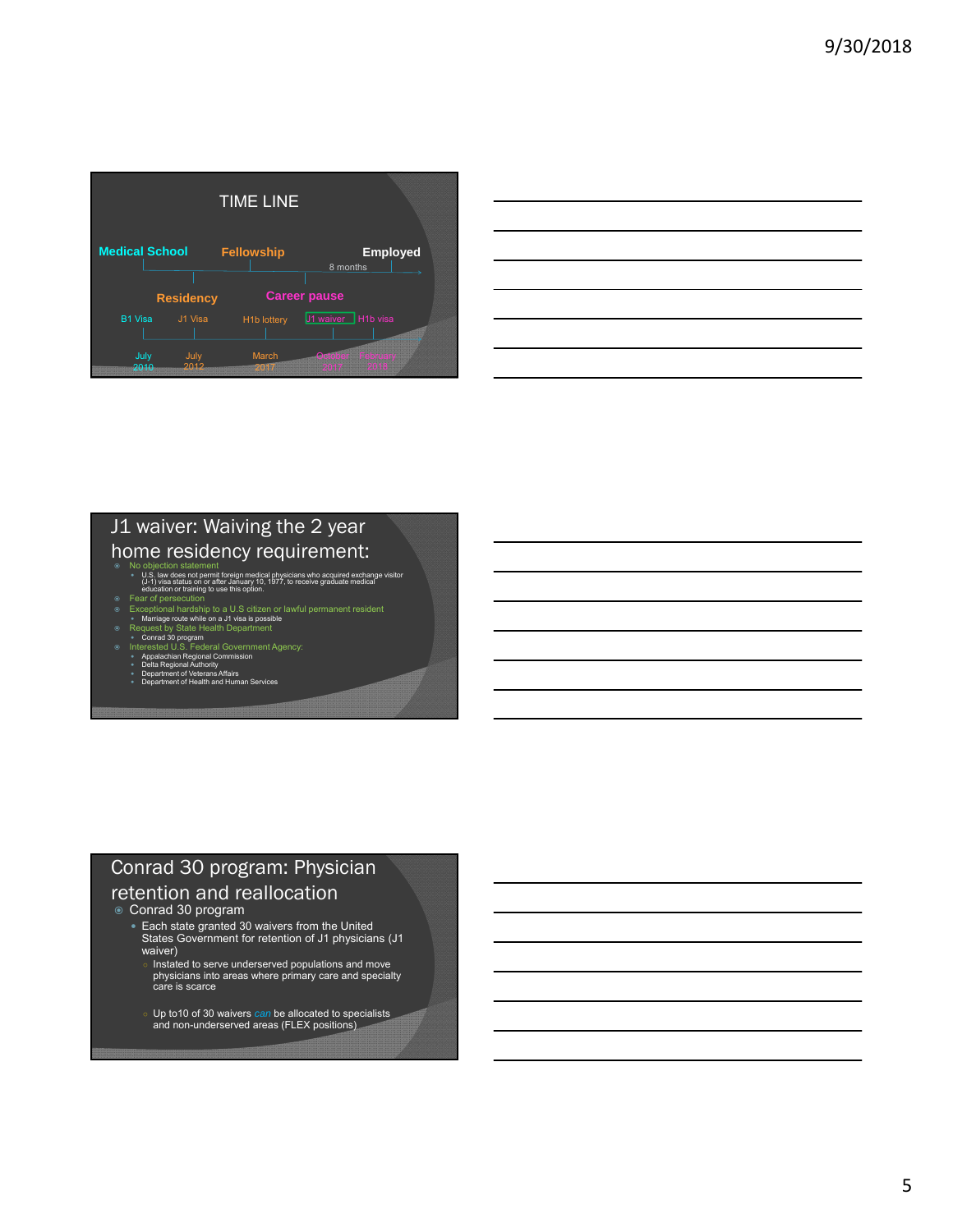|                       |                  |              | <b>TIME LINE</b>         |                     |                 |  |
|-----------------------|------------------|--------------|--------------------------|---------------------|-----------------|--|
| <b>Medical School</b> |                  |              | <b>Fellowship</b>        | 8 months            | <b>Employed</b> |  |
|                       | <b>Residency</b> |              |                          | <b>Career pause</b> |                 |  |
| <b>B1 Visa</b>        |                  | J1 Visa      | H <sub>1</sub> b lottery | 11 waiver H1b visa  |                 |  |
| July<br>2010          |                  | July<br>2013 | March                    | October Febru       |                 |  |

| <u> 1989 - Jan Salaman Salaman (j. 1989)</u>                                                                          |  |  |
|-----------------------------------------------------------------------------------------------------------------------|--|--|
| <u> 1989 - Johann Barn, mars ann an t-Amhainn an t-Amhainn an t-Amhainn an t-Amhainn an t-Amhainn an t-Amhainn an</u> |  |  |
| and the contract of the contract of the contract of the contract of the contract of the contract of the contract of   |  |  |
| <u> 1989 - Andrea Andrew Maria (h. 1989).</u>                                                                         |  |  |
| <u> 1989 - Andrea Stadt Britain, amerikansk politik (* 1958)</u>                                                      |  |  |
| <u> 1989 - Johann Barn, mars ann an t-Amhainn an t-Amhainn an t-Amhainn an t-Amhainn an t-Amhainn an t-Amhainn an</u> |  |  |
|                                                                                                                       |  |  |
|                                                                                                                       |  |  |

 $\overline{a}$ 

# J1 waiver: Waiving the 2 year home residency requirement:

- ® No objection statement<br>• U.S. law does not permit foreign medical physicians who acquired exchange visitor<br>• (J-1) visa status on or after January 10, 1977, to receive graduate medical<br>• education or training to use thi
- 
- 
- 
- © Fear of persecution<br>
Exceptional hardship to a U.S citizen or lawful permanent resident<br>
 Mariage route while on a J1 visa is possible<br>
© Request by State Health Department<br>
 Conrad 30 program<br>
© Interested U.S. Feder
	-
	-

# Conrad 30 program: Physician

#### retention and reallocation

- Conrad 30 program
	- Each state granted 30 waivers from the United States Government for retention of J1 physicians (J1 waiver)
		- Instated to serve underserved populations and move physicians into areas where primary care and specialty care is scarce
		- Up to10 of 30 waivers *can* be allocated to specialists and non-underserved areas (FLEX positions)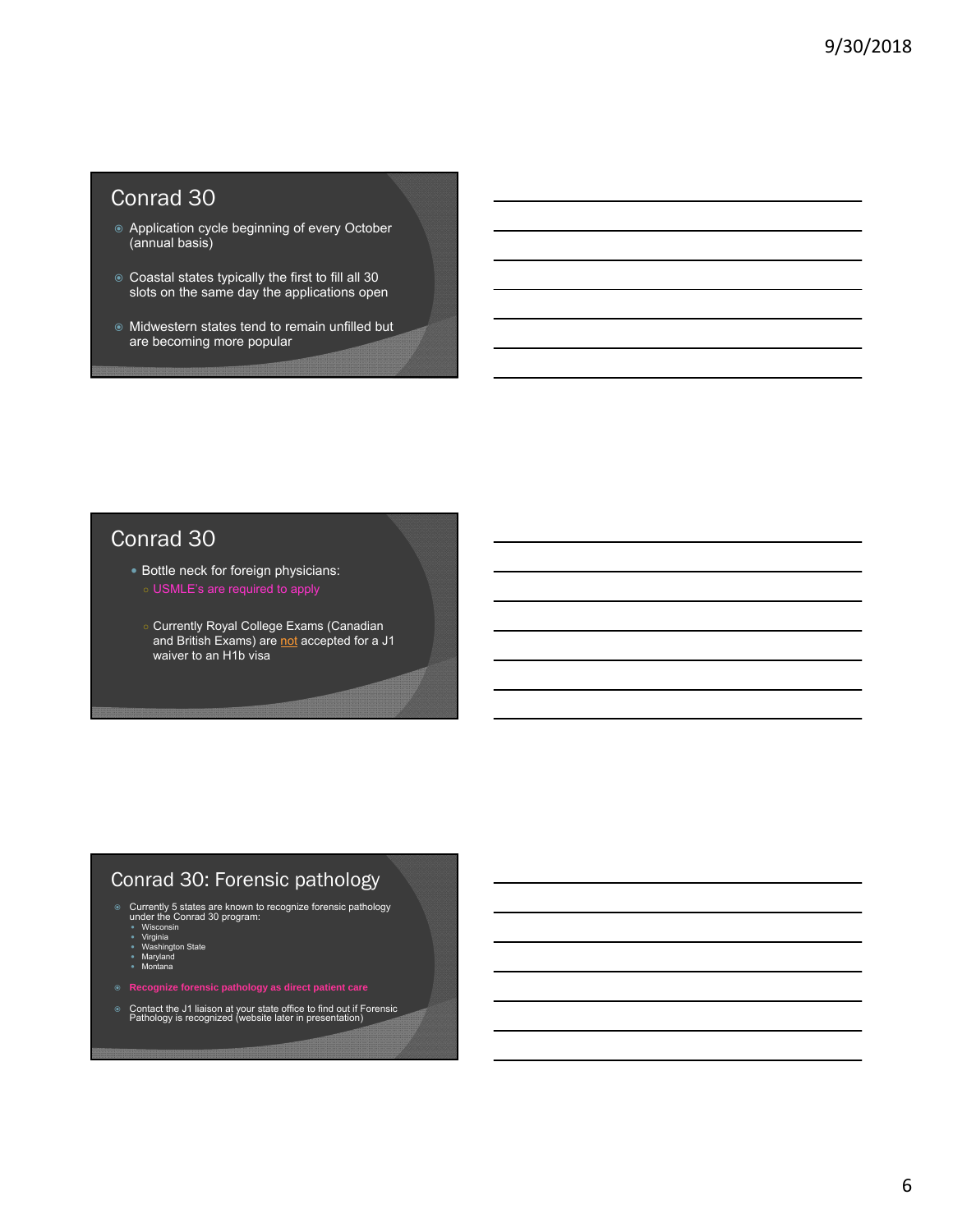# Conrad 30

- Application cycle beginning of every October (annual basis)
- Coastal states typically the first to fill all 30 slots on the same day the applications open
- Midwestern states tend to remain unfilled but are becoming more popular

# Conrad 30

- Bottle neck for foreign physicians:
	-
	- Currently Royal College Exams (Canadian and British Exams) are not accepted for a J1 waiver to an H1b visa

### Conrad 30: Forensic pathology

- ◎ Currently 5 states are known to recognize forensic pathology<br>
under the Conrad 30 program:<br>
 Wisconsin<br>
 Wisconsin<br>
 Washington State<br>
 Maryland<br>
 Montana<br>
 Montana
	-
	-
- 
- 
- Contact the J1 liaison at your state office to find out if Forensic Pathology is recognized (website later in presentation)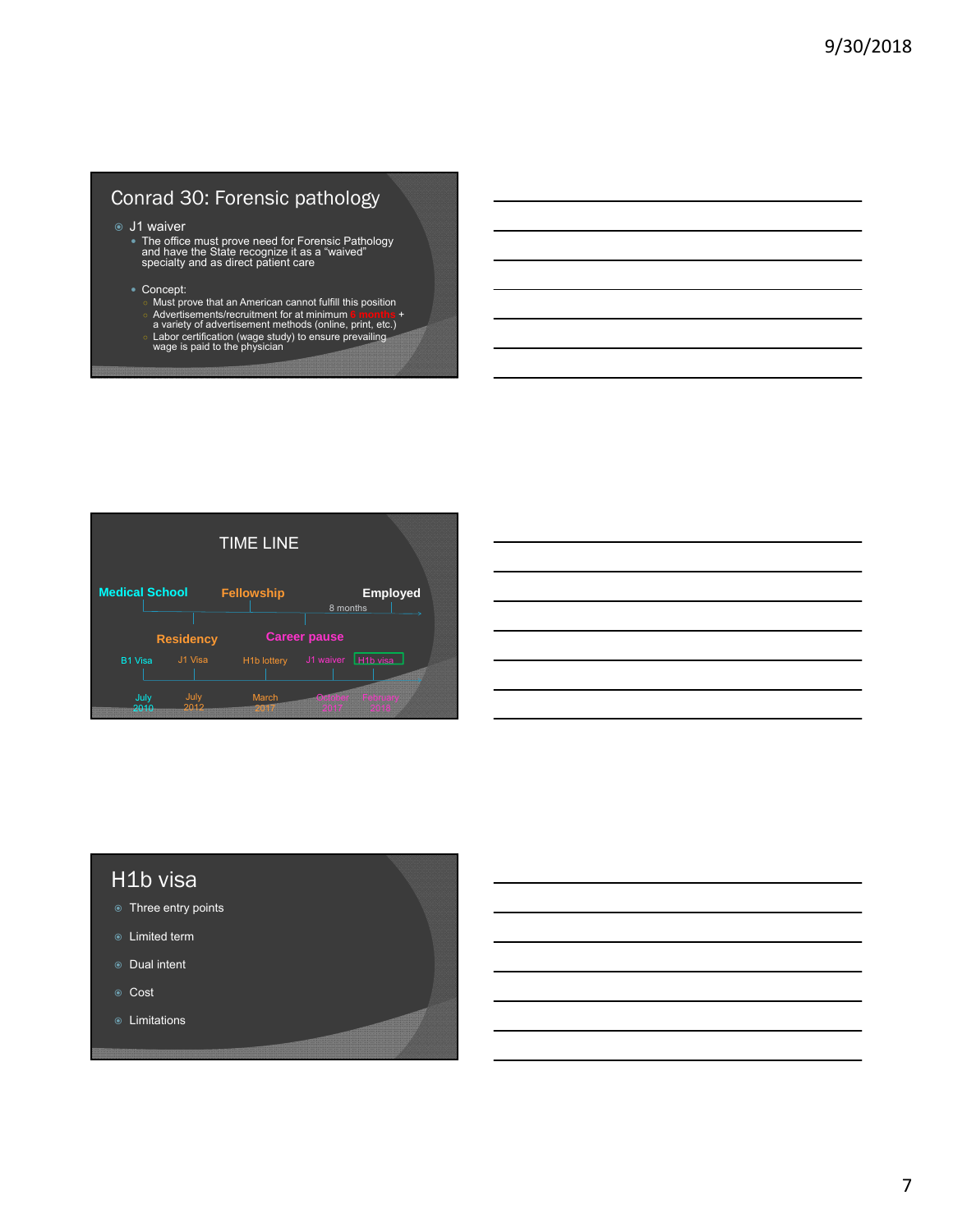## Conrad 30: Forensic pathology

- J1 waiver
	- The office must prove need for Forensic Pathology and have the State recognize it as a "waived" specialty and as direct patient care
	- Concept:
		-
		- Must prove that an American cannot fulfill this position<br>○ Advertisements/recruitment for at minimum 6 months +<br>a variety of advertisement methods (online, print, etc.)
		-
		- Labor certification (wage study) to ensure prevailing wage is paid to the physician



#### H1b visa

- **Three entry points**
- Limited term
- Dual intent
- ⊕ Cost
- Limitations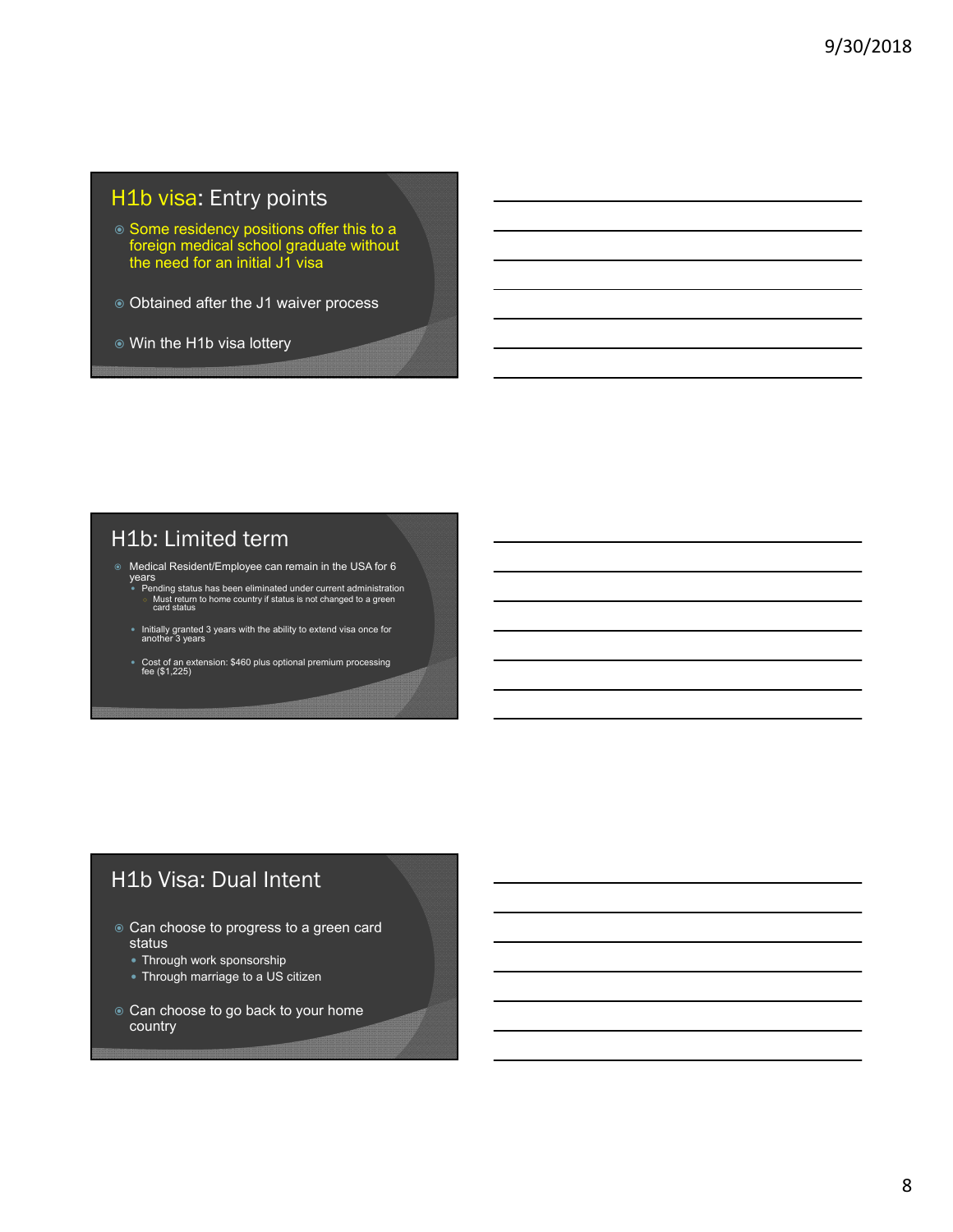# H1b visa: Entry points

- Some residency positions offer this to a foreign medical school graduate without the need for an initial J1 visa
- Obtained after the J1 waiver process
- Win the H1b visa lottery

# H1b: Limited term

- Medical Resident/Employee can remain in the USA for 6 years
- ◎ Pending status has been eliminated under current administration<br>○ Must return to home country if status is not changed to a green<br>○ Card status
- Initially granted 3 years with the ability to extend visa once for another 3 years
- Cost of an extension: \$460 plus optional premium processing fee (\$1,225)

# H1b Visa: Dual Intent

- Can choose to progress to a green card status
	- Through work sponsorship
	- Through marriage to a US citizen
- Can choose to go back to your home country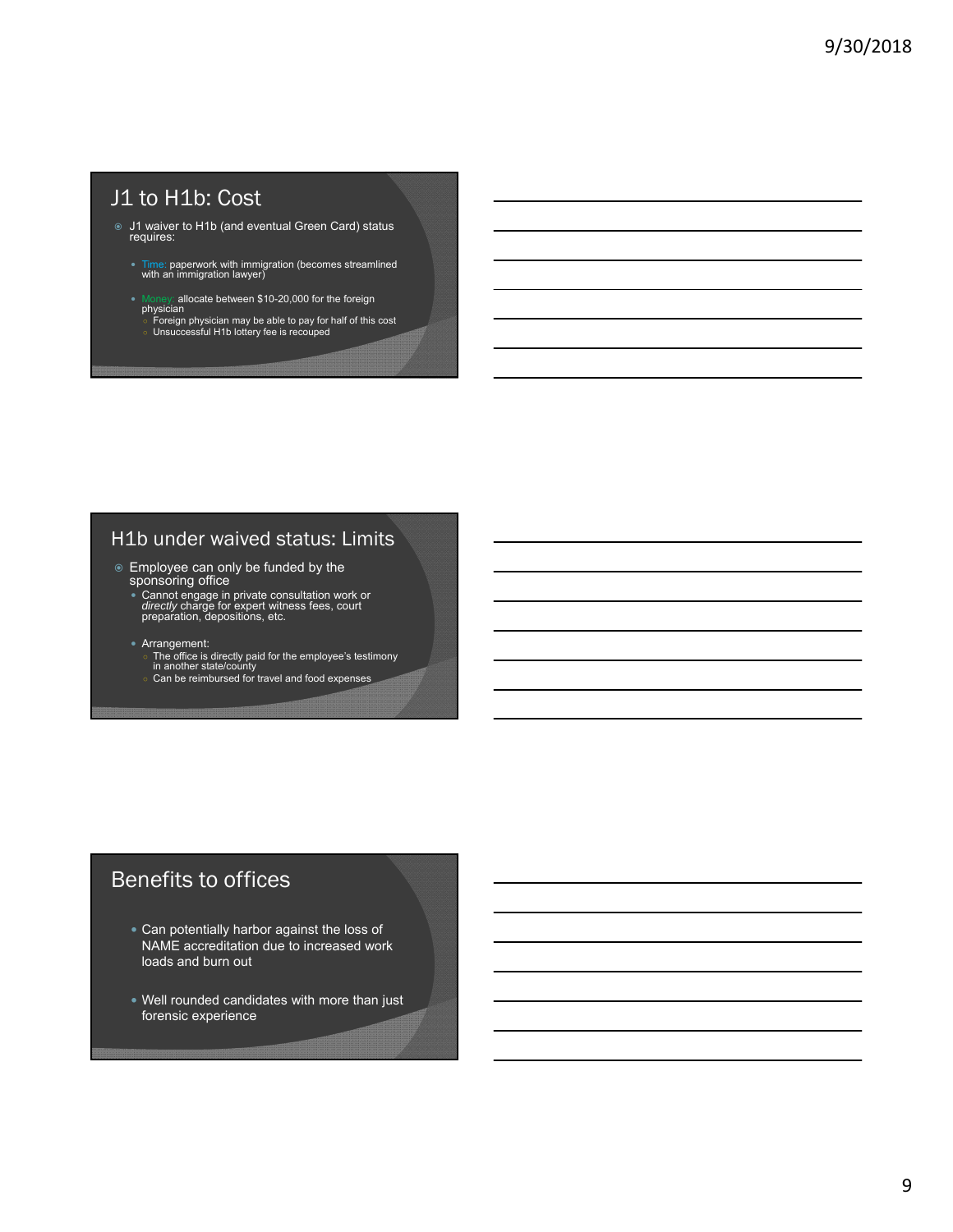# J1 to H1b: Cost

- J1 waiver to H1b (and eventual Green Card) status requires:
	- Time: paperwork with immigration (becomes streamlined with an immigration lawyer)
	-
	- Money: allocate between \$10-20,000 for the foreign<br>physician<br>○ Foreign physician may be able to pay for half of this cost<br>○ Unsuccessful H1b lottery fee is recouped

### H1b under waived status: Limits

- Employee can only be funded by the sponsoring office
	- Cannot engage in private consultation work or *directly* charge for expert witness fees, court preparation, depositions, etc.

#### Arrangement:

- The office is directly paid for the employee's testimony in another state/county
- Can be reimbursed for travel and food expenses

# Benefits to offices

- Can potentially harbor against the loss of NAME accreditation due to increased work loads and burn out
- Well rounded candidates with more than just forensic experience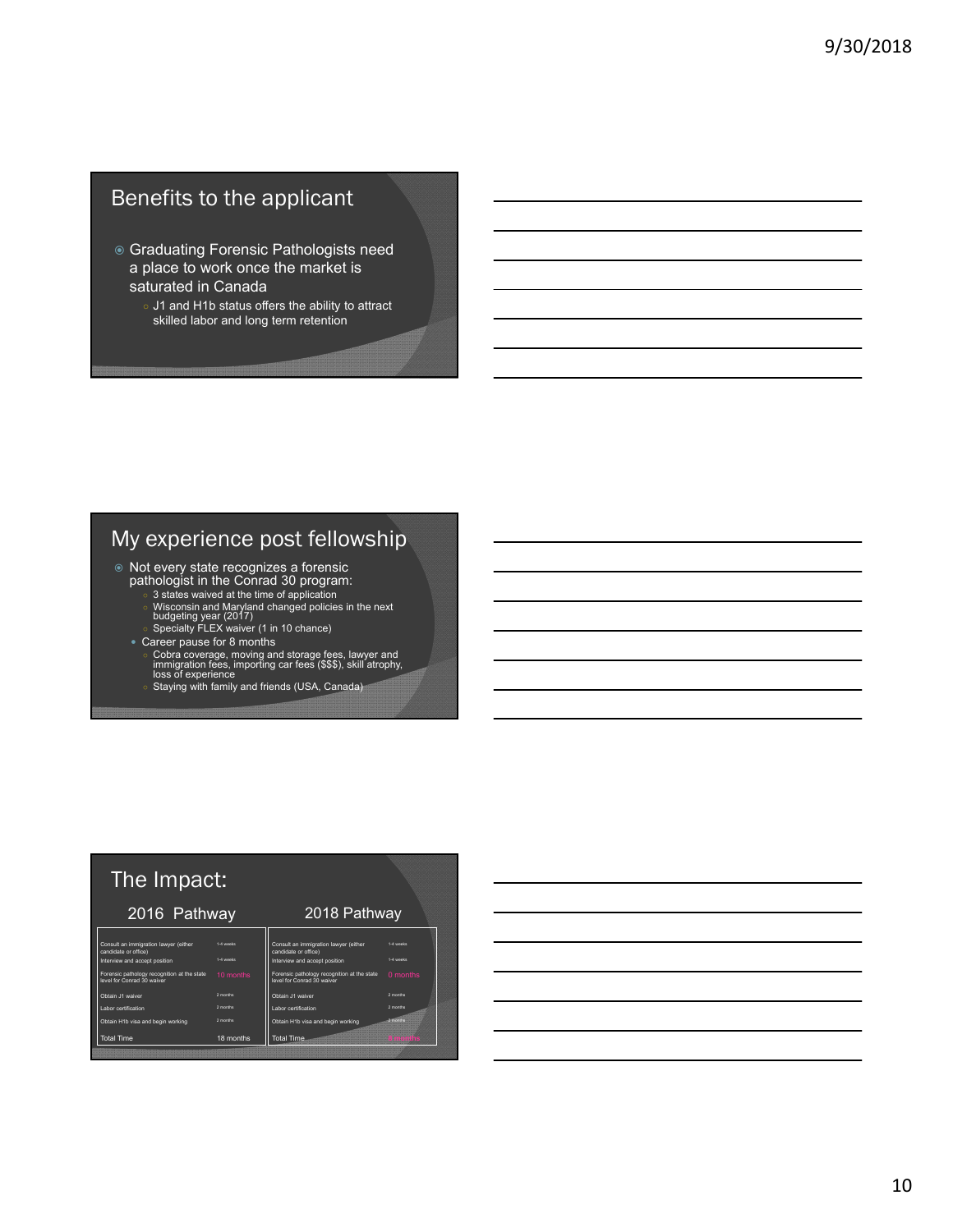# Benefits to the applicant

- Graduating Forensic Pathologists need a place to work once the market is saturated in Canada
	- J1 and H1b status offers the ability to attract skilled labor and long term retention

# My experience post fellowship

- Not every state recognizes a forensic
	-
	- pathologist in the Conrad 30 program:<br>○ 3 states waived at the time of application<br>○ Wisconsin and Maryland changed policies in the next<br>budgeting year (2017)<br>○ Specialty FLEX waiver (1 in 10 chance)
	- Career pause for 8 months
		- Cobra coverage, moving and storage fees, lawyer and<br>○ lmmigration fees, importing car fees (\$\$\$), skill atrophy,<br>○ Oss of experience<br>○ Staying with family and friends (USA, Canada)

| The Impact:                                                               |           |                                                                           |           |  |  |
|---------------------------------------------------------------------------|-----------|---------------------------------------------------------------------------|-----------|--|--|
| 2016 Pathway                                                              |           | 2018 Pathway                                                              |           |  |  |
| Consult an immigration lawyer (either<br>candidate or office)             | 1.4 weeks | Consult an immigration lawyer (either<br>candidate or office)             | 1.4 weeks |  |  |
| Interview and accept position                                             | 1.4 weeks | Interview and accept position                                             | 1.4 weeks |  |  |
| Forensic pathology recognition at the state<br>level for Conrad 30 waiver | 10 months | Forensic pathology recognition at the state<br>level for Conrad 30 waiver | 0 months  |  |  |
| Obtain .11 waiver                                                         | 2 months  | Obtain .11 waiver                                                         | 2 months  |  |  |
| Labor certification                                                       | 2 months  | Labor certification                                                       | 2 months  |  |  |
| Obtain H1b visa and begin working                                         | 2 months  | Obtain H1b visa and begin working                                         |           |  |  |
| <b>Total Time</b>                                                         | 18 months | Total Time                                                                |           |  |  |

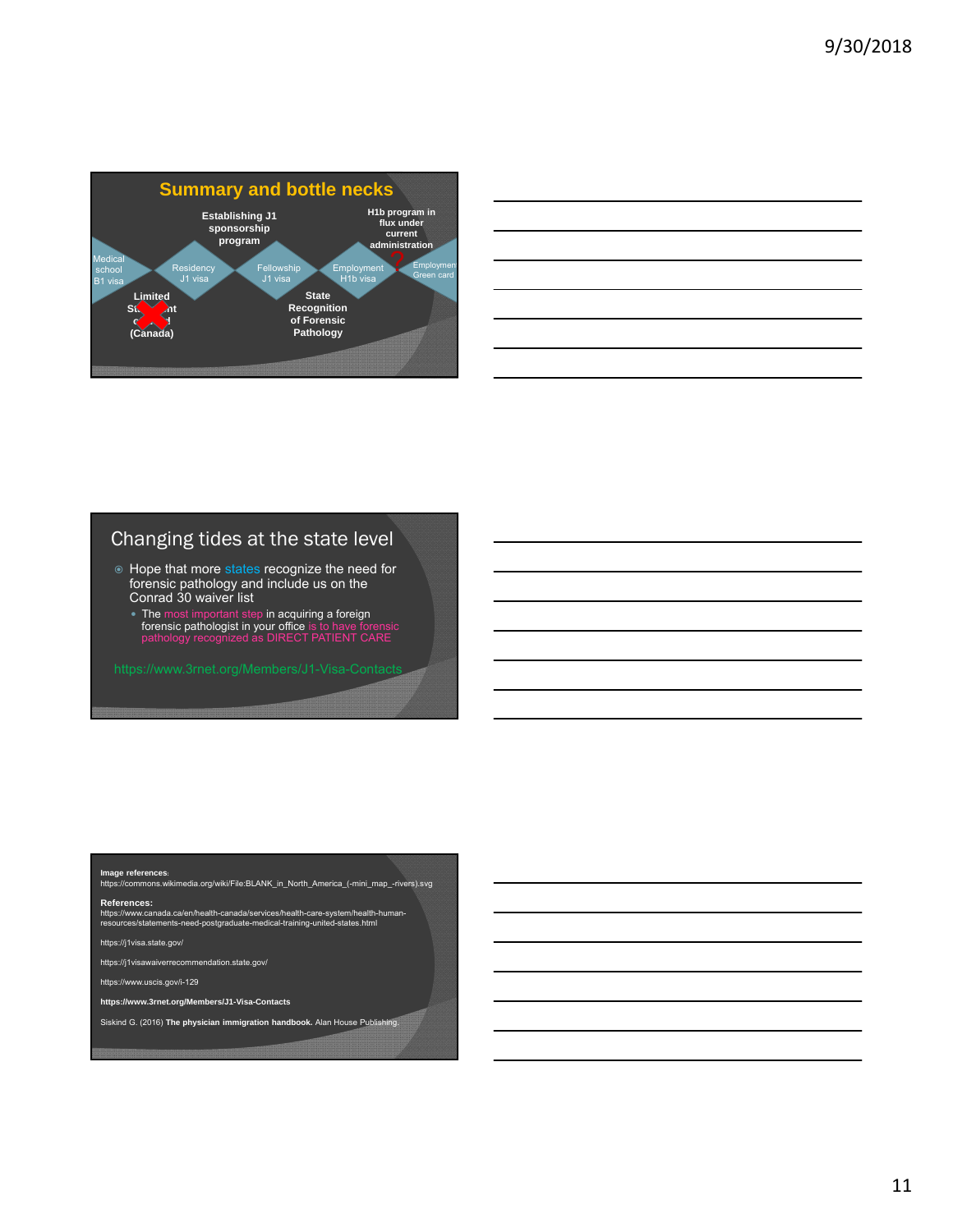

| <u> 1989 - Andrea Andrew Maria (h. 1989).</u>                                                                         |  |  |
|-----------------------------------------------------------------------------------------------------------------------|--|--|
| <u> 1989 - Johann Stoff, amerikansk politiker (d. 1989)</u>                                                           |  |  |
| <u> 1989 - Andrea Andrew Maria (h. 1989).</u>                                                                         |  |  |
| <u> 1989 - Johann Stoff, deutscher Stoff, der Stoff, der Stoff, der Stoff, der Stoff, der Stoff, der Stoff, der S</u> |  |  |
| <u> 1989 - Andrea Andrew Maria (h. 1989).</u>                                                                         |  |  |
| <u> 1989 - Andrea Andrew Maria (h. 1989).</u>                                                                         |  |  |
|                                                                                                                       |  |  |

# Changing tides at the state level

- $\circ$  Hope that more states recognize the need for forensic pathology and include us on the Conrad 30 waiver list
	- The most important step in acquiring a foreign forensic pathologist in your office is to have forensic pathology recognized as DIRECT PATIENT CARE

**Image references**:<br>https://commons.wikimedia.org/wiki/File:BLANK\_in\_North\_America\_(-mini\_map\_-rivers).svg

**References:**

https://www.canada.ca/en/health-canada/services/health-care-system/health-human-resources/statements-need-postgraduate-medical-training-united-states.html

https://j1visa.state.gov/

https://j1visawaiverrecommendation.state.gov/

https://www.uscis.gov/i-129

**https://www.3rnet.org/Members/J1-Visa-Contacts**

Siskind G. (2016) **The physician immigration handbook.** Alan House Publishing.